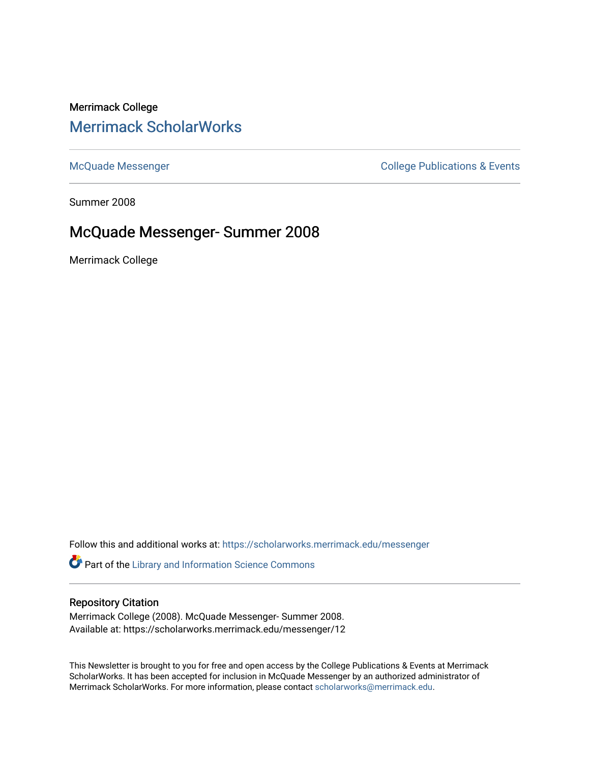# Merrimack College [Merrimack ScholarWorks](https://scholarworks.merrimack.edu/)

[McQuade Messenger](https://scholarworks.merrimack.edu/messenger) College Publications & Events

Summer 2008

## McQuade Messenger- Summer 2008

Merrimack College

Follow this and additional works at: [https://scholarworks.merrimack.edu/messenger](https://scholarworks.merrimack.edu/messenger?utm_source=scholarworks.merrimack.edu%2Fmessenger%2F12&utm_medium=PDF&utm_campaign=PDFCoverPages) 

Part of the [Library and Information Science Commons](http://network.bepress.com/hgg/discipline/1018?utm_source=scholarworks.merrimack.edu%2Fmessenger%2F12&utm_medium=PDF&utm_campaign=PDFCoverPages) 

#### Repository Citation

Merrimack College (2008). McQuade Messenger- Summer 2008. Available at: https://scholarworks.merrimack.edu/messenger/12

This Newsletter is brought to you for free and open access by the College Publications & Events at Merrimack ScholarWorks. It has been accepted for inclusion in McQuade Messenger by an authorized administrator of Merrimack ScholarWorks. For more information, please contact [scholarworks@merrimack.edu](mailto:scholarworks@merrimack.edu).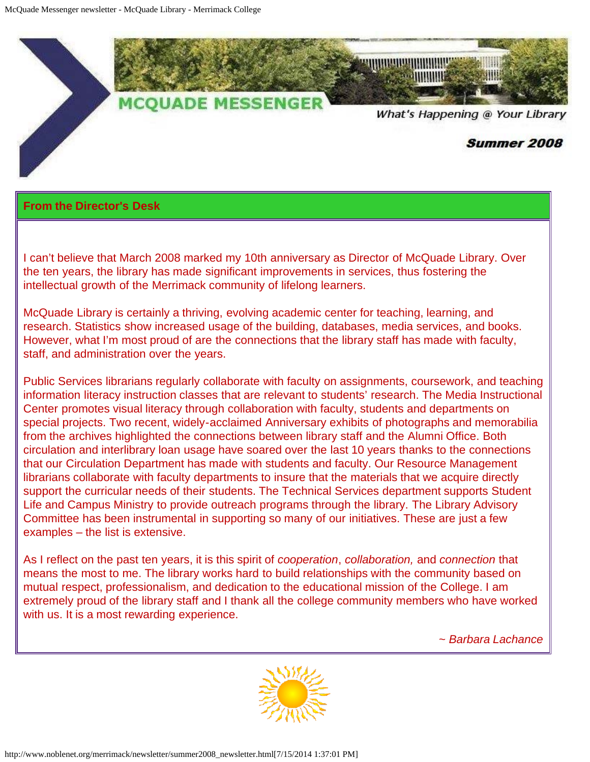

### **From the Director's Desk**

I can't believe that March 2008 marked my 10th anniversary as Director of McQuade Library. Over the ten years, the library has made significant improvements in services, thus fostering the intellectual growth of the Merrimack community of lifelong learners.

McQuade Library is certainly a thriving, evolving academic center for teaching, learning, and research. Statistics show increased usage of the building, databases, media services, and books. However, what I'm most proud of are the connections that the library staff has made with faculty, staff, and administration over the years.

Public Services librarians regularly collaborate with faculty on assignments, coursework, and teaching information literacy instruction classes that are relevant to students' research. The Media Instructional Center promotes visual literacy through collaboration with faculty, students and departments on special projects. Two recent, widely-acclaimed Anniversary exhibits of photographs and memorabilia from the archives highlighted the connections between library staff and the Alumni Office. Both circulation and interlibrary loan usage have soared over the last 10 years thanks to the connections that our Circulation Department has made with students and faculty. Our Resource Management librarians collaborate with faculty departments to insure that the materials that we acquire directly support the curricular needs of their students. The Technical Services department supports Student Life and Campus Ministry to provide outreach programs through the library. The Library Advisory Committee has been instrumental in supporting so many of our initiatives. These are just a few examples – the list is extensive.

As I reflect on the past ten years, it is this spirit of *cooperation*, *collaboration,* and *connection* that means the most to me. The library works hard to build relationships with the community based on mutual respect, professionalism, and dedication to the educational mission of the College. I am extremely proud of the library staff and I thank all the college community members who have worked with us. It is a most rewarding experience.

*~ Barbara Lachance*

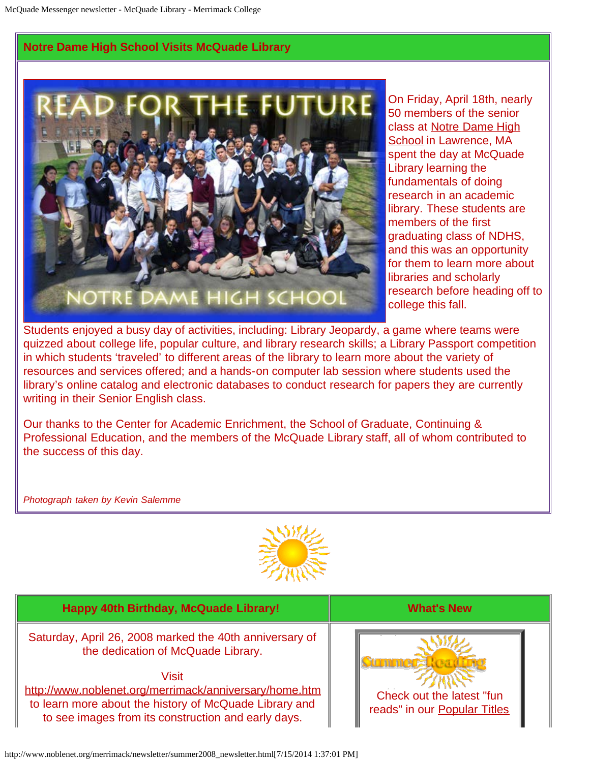### **Notre Dame High School Visits McQuade Library**



On Friday, April 18th, nearly 50 members of the senior class at [Notre Dame High](http://www.ndhslaw.org/) [School](http://www.ndhslaw.org/) in Lawrence, MA spent the day at McQuade Library learning the fundamentals of doing research in an academic library. These students are members of the first graduating class of NDHS, and this was an opportunity for them to learn more about libraries and scholarly research before heading off to college this fall.

Students enjoyed a busy day of activities, including: Library Jeopardy, a game where teams were quizzed about college life, popular culture, and library research skills; a Library Passport competition in which students 'traveled' to different areas of the library to learn more about the variety of resources and services offered; and a hands-on computer lab session where students used the library's online catalog and electronic databases to conduct research for papers they are currently writing in their Senior English class.

Our thanks to the Center for Academic Enrichment, the School of Graduate, Continuing & Professional Education, and the members of the McQuade Library staff, all of whom contributed to the success of this day.

*Photograph taken by Kevin Salemme*



| Happy 40th Birthday, McQuade Library!                                                                                                                                                                                                                                             | <b>What's New</b>                                         |
|-----------------------------------------------------------------------------------------------------------------------------------------------------------------------------------------------------------------------------------------------------------------------------------|-----------------------------------------------------------|
| Saturday, April 26, 2008 marked the 40th anniversary of<br>the dedication of McQuade Library.<br>Visit<br>http://www.noblenet.org/merrimack/anniversary/home.htm<br>to learn more about the history of McQuade Library and<br>to see images from its construction and early days. | Check out the latest "fun<br>reads" in our Popular Titles |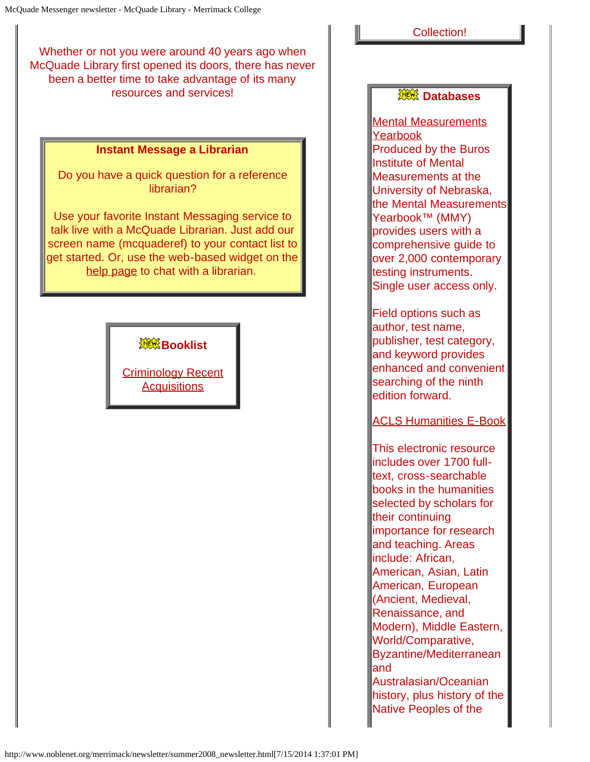Whether or not you were around 40 years ago when McQuade Library first opened its doors, there has never been a better time to take advantage of its many resources and services!

#### **Instant Message a Librarian**

Do you have a quick question for a reference librarian?

Use your favorite Instant Messaging service to talk live with a McQuade Librarian. Just add our screen name (mcquaderef) to your contact list to get started. Or, use the web-based widget on the [help page](http://www.noblenet.org/merrimack/IMus.htm) to chat with a librarian.

**XXX Booklist** 

[Criminology Recent](http://www.noblenet.org/merrimack/booklists/criminApr08.htm) **[Acquisitions](http://www.noblenet.org/merrimack/booklists/criminApr08.htm)** 

#### Collection!

### **Databases**

[Mental Measurements](http://proxy3.noblenet.org/login?url=http://search.ebscohost.com/login.aspx?authtype=cookie,ip,cpid&custid=mer&profile=ehost&defaultdb=loh) [Yearbook](http://proxy3.noblenet.org/login?url=http://search.ebscohost.com/login.aspx?authtype=cookie,ip,cpid&custid=mer&profile=ehost&defaultdb=loh) Produced by the Buros Institute of Mental Measurements at the University of Nebraska, the Mental Measurements Yearbook™ (MMY) provides users with a comprehensive guide to over 2,000 contemporary testing instruments. Single user access only.

Field options such as author, test name, publisher, test category, and keyword provides enhanced and convenient searching of the ninth edition forward.

[ACLS Humanities E-Book](http://proxy3.noblenet.org/login?url=http://www.humanitiesebook.org/)

This electronic resource includes over 1700 fulltext, cross-searchable books in the humanities selected by scholars for their continuing importance for research and teaching. Areas include: African, American, Asian, Latin American, European (Ancient, Medieval, Renaissance, and Modern), Middle Eastern, World/Comparative, Byzantine/Mediterranean and Australasian/Oceanian

history, plus history of the Native Peoples of the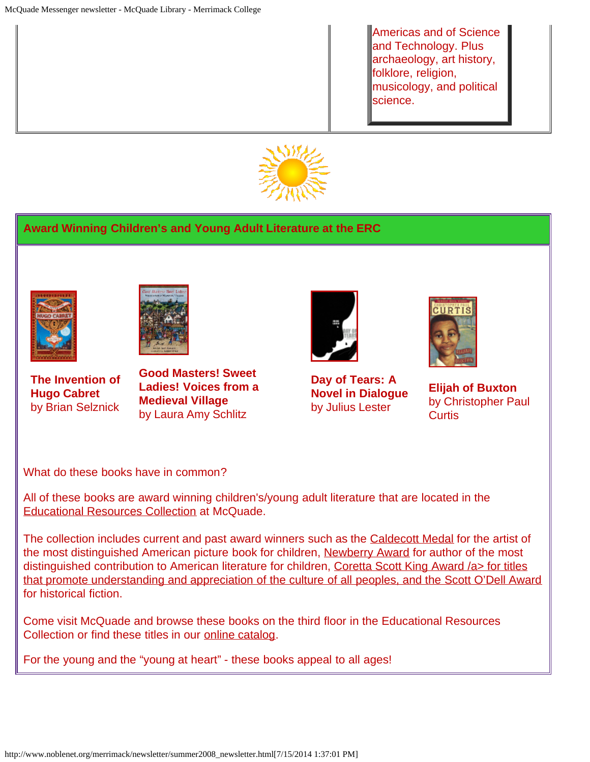Americas and of Science and Technology. Plus archaeology, art history, folklore, religion, musicology, and political science.



### **Award Winning Children's and Young Adult Literature at the ERC**



**The Invention of Hugo Cabret** by Brian Selznick

**Good Masters! Sweet Ladies! Voices from a Medieval Village**  by Laura Amy Schlitz



**Day of Tears: A Novel in Dialogue**  by Julius Lester



**Elijah of Buxton** by Christopher Paul **Curtis** 

What do these books have in common?

All of these books are award winning children's/young adult literature that are located in the [Educational Resources Collection](http://www.noblenet.org/merrimack/ERC/ERChome.htm) at McQuade.

The collection includes current and past award winners such as the [Caldecott Medal](http://www.ala.org/ala/alsc/awardsscholarships/literaryawds/caldecottmedal/caldecottmedal.cfm) for the artist of the most distinguished American picture book for children, [Newberry Award](http://www.ala.org/ala/alsc/awardsscholarships/literaryawds/newberymedal/newberymedal.cfm) for author of the most distinguished contribution to American literature for children, [Coretta Scott King Award /a> for titles](http://www.ala.org/ala/emiert/corettascottkingbookaward/corettascott.cfm) [that promote understanding and appreciation of the culture of all peoples, and the](http://www.ala.org/ala/emiert/corettascottkingbookaward/corettascott.cfm) [Scott O'Dell Award](http://www.scottodell.com/odellaward.html) for historical fiction.

Come visit McQuade and browse these books on the third floor in the Educational Resources Collection or find these titles in our [online catalog](http://innopac.noblenet.org/search%7ES40/X).

For the young and the "young at heart" - these books appeal to all ages!